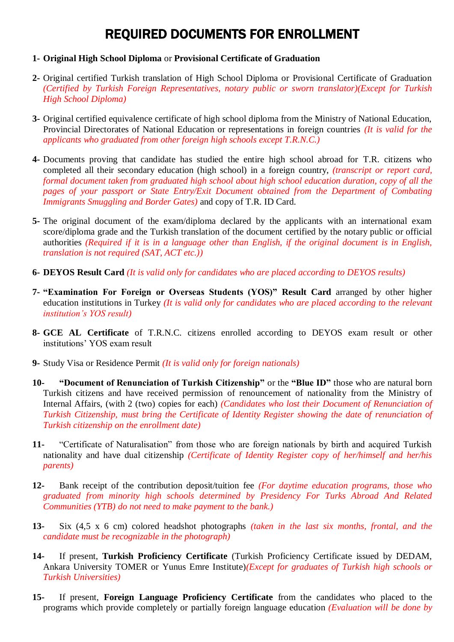## REQUIRED DOCUMENTS FOR ENROLLMENT

## **1- Original High School Diploma** or **Provisional Certificate of Graduation**

- **2-** Original certified Turkish translation of High School Diploma or Provisional Certificate of Graduation *(Certified by Turkish Foreign Representatives, notary public or sworn translator)(Except for Turkish High School Diploma)*
- **3-** Original certified equivalence certificate of high school diploma from the Ministry of National Education, Provincial Directorates of National Education or representations in foreign countries *(It is valid for the applicants who graduated from other foreign high schools except T.R.N.C.)*
- **4-** Documents proving that candidate has studied the entire high school abroad for T.R. citizens who completed all their secondary education (high school) in a foreign country, *(transcript or report card, formal document taken from graduated high school about high school education duration, copy of all the pages of your passport or State Entry/Exit Document obtained from the Department of Combating Immigrants Smuggling and Border Gates)* and copy of T.R. ID Card.
- **5-** The original document of the exam/diploma declared by the applicants with an international exam score/diploma grade and the Turkish translation of the document certified by the notary public or official authorities *(Required if it is in a language other than English, if the original document is in English, translation is not required (SAT, ACT etc.))*
- **6- DEYOS Result Card** *(It is valid only for candidates who are placed according to DEYOS results)*
- **7- "Examination For Foreign or Overseas Students (YOS)" Result Card** arranged by other higher education institutions in Turkey *(It is valid only for candidates who are placed according to the relevant institution's YOS result)*
- **8- GCE AL Certificate** of T.R.N.C. citizens enrolled according to DEYOS exam result or other institutions' YOS exam result
- **9-** Study Visa or Residence Permit *(It is valid only for foreign nationals)*
- **10- "Document of Renunciation of Turkish Citizenship"** or the **"Blue ID"** those who are natural born Turkish citizens and have received permission of renouncement of nationality from the Ministry of Internal Affairs, (with 2 (two) copies for each) *(Candidates who lost their Document of Renunciation of Turkish Citizenship, must bring the Certificate of Identity Register showing the date of renunciation of Turkish citizenship on the enrollment date)*
- **11-** "Certificate of Naturalisation" from those who are foreign nationals by birth and acquired Turkish nationality and have dual citizenship *(Certificate of Identity Register copy of her/himself and her/his parents)*
- **12-** Bank receipt of the contribution deposit/tuition fee *(For daytime education programs, those who graduated from minority high schools determined by Presidency For Turks Abroad And Related Communities (YTB) do not need to make payment to the bank.)*
- **13-** Six (4,5 x 6 cm) colored headshot photographs *(taken in the last six months, frontal, and the candidate must be recognizable in the photograph)*
- **14-** If present, **Turkish Proficiency Certificate** (Turkish Proficiency Certificate issued by DEDAM, Ankara University TOMER or Yunus Emre Institute)*(Except for graduates of Turkish high schools or Turkish Universities)*
- **15-** If present, **Foreign Language Proficiency Certificate** from the candidates who placed to the programs which provide completely or partially foreign language education *(Evaluation will be done by*